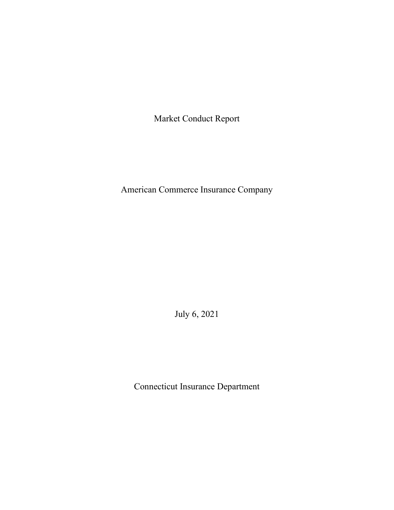Market Conduct Report

American Commerce Insurance Company

July 6, 2021

Connecticut Insurance Department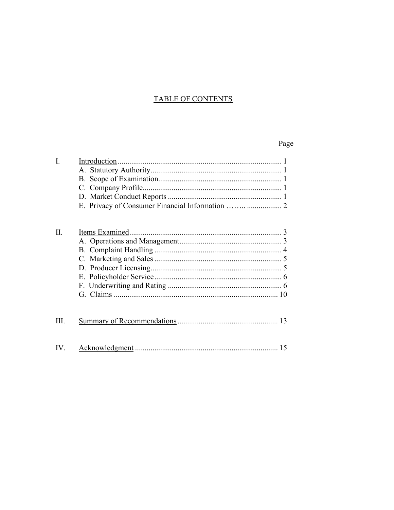# **TABLE OF CONTENTS**

# Page

| I.  |  |
|-----|--|
|     |  |
|     |  |
|     |  |
|     |  |
|     |  |
|     |  |
| II. |  |
|     |  |
|     |  |
|     |  |
|     |  |
|     |  |
|     |  |
|     |  |

| Ш |  |  |
|---|--|--|
|   |  |  |

| IV |  |  |  |
|----|--|--|--|
|----|--|--|--|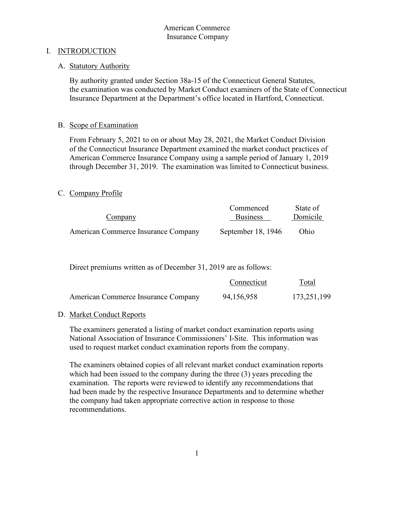# I. INTRODUCTION

# A. Statutory Authority

 By authority granted under Section 38a-15 of the Connecticut General Statutes, the examination was conducted by Market Conduct examiners of the State of Connecticut Insurance Department at the Department's office located in Hartford, Connecticut.

# B. Scope of Examination

From February 5, 2021 to on or about May 28, 2021, the Market Conduct Division of the Connecticut Insurance Department examined the market conduct practices of American Commerce Insurance Company using a sample period of January 1, 2019 through December 31, 2019. The examination was limited to Connecticut business.

# C. Company Profile

|                                     | Commenced          | State of |
|-------------------------------------|--------------------|----------|
| Company                             | <b>Business</b>    | Domicile |
|                                     |                    |          |
| American Commerce Insurance Company | September 18, 1946 | Ohio     |

Direct premiums written as of December 31, 2019 are as follows:

|                                     | Connecticut | <u>Total</u> |
|-------------------------------------|-------------|--------------|
| American Commerce Insurance Company | 94,156,958  | 173,251,199  |

# D. Market Conduct Reports

The examiners generated a listing of market conduct examination reports using National Association of Insurance Commissioners' I-Site. This information was used to request market conduct examination reports from the company.

The examiners obtained copies of all relevant market conduct examination reports which had been issued to the company during the three (3) years preceding the examination. The reports were reviewed to identify any recommendations that had been made by the respective Insurance Departments and to determine whether the company had taken appropriate corrective action in response to those recommendations.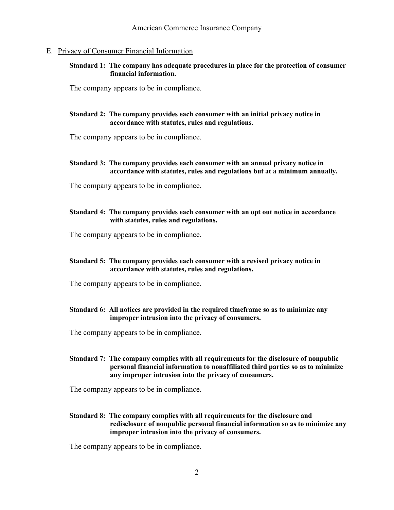### E. Privacy of Consumer Financial Information

### **Standard 1: The company has adequate procedures in place for the protection of consumer financial information.**

The company appears to be in compliance.

### **Standard 2: The company provides each consumer with an initial privacy notice in accordance with statutes, rules and regulations.**

The company appears to be in compliance.

### **Standard 3: The company provides each consumer with an annual privacy notice in accordance with statutes, rules and regulations but at a minimum annually.**

The company appears to be in compliance.

### **Standard 4: The company provides each consumer with an opt out notice in accordance with statutes, rules and regulations.**

The company appears to be in compliance.

### **Standard 5: The company provides each consumer with a revised privacy notice in accordance with statutes, rules and regulations.**

The company appears to be in compliance.

### **Standard 6: All notices are provided in the required timeframe so as to minimize any improper intrusion into the privacy of consumers.**

The company appears to be in compliance.

### **Standard 7: The company complies with all requirements for the disclosure of nonpublic personal financial information to nonaffiliated third parties so as to minimize any improper intrusion into the privacy of consumers.**

The company appears to be in compliance.

**Standard 8: The company complies with all requirements for the disclosure and redisclosure of nonpublic personal financial information so as to minimize any improper intrusion into the privacy of consumers.**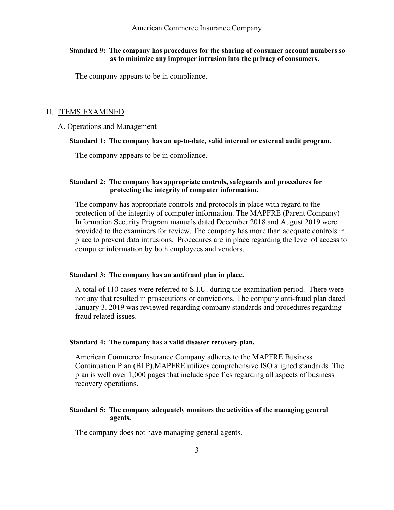### **Standard 9: The company has procedures for the sharing of consumer account numbers so as to minimize any improper intrusion into the privacy of consumers.**

The company appears to be in compliance.

#### II. ITEMS EXAMINED

#### A. Operations and Management

#### **Standard 1: The company has an up-to-date, valid internal or external audit program.**

The company appears to be in compliance.

### **Standard 2: The company has appropriate controls, safeguards and procedures for protecting the integrity of computer information.**

The company has appropriate controls and protocols in place with regard to the protection of the integrity of computer information. The MAPFRE (Parent Company) Information Security Program manuals dated December 2018 and August 2019 were provided to the examiners for review. The company has more than adequate controls in place to prevent data intrusions. Procedures are in place regarding the level of access to computer information by both employees and vendors.

#### **Standard 3: The company has an antifraud plan in place.**

A total of 110 cases were referred to S.I.U. during the examination period. There were not any that resulted in prosecutions or convictions. The company anti-fraud plan dated January 3, 2019 was reviewed regarding company standards and procedures regarding fraud related issues.

#### **Standard 4: The company has a valid disaster recovery plan.**

American Commerce Insurance Company adheres to the MAPFRE Business Continuation Plan (BLP).MAPFRE utilizes comprehensive ISO aligned standards. The plan is well over 1,000 pages that include specifics regarding all aspects of business recovery operations.

### **Standard 5: The company adequately monitors the activities of the managing general agents.**

The company does not have managing general agents.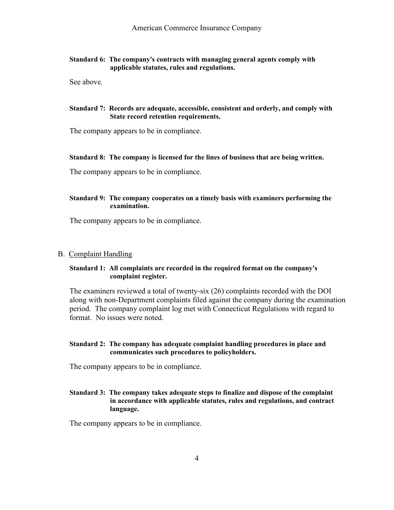### **Standard 6: The company's contracts with managing general agents comply with applicable statutes, rules and regulations.**

See above.

### **Standard 7: Records are adequate, accessible, consistent and orderly, and comply with State record retention requirements.**

The company appears to be in compliance.

### **Standard 8: The company is licensed for the lines of business that are being written.**

The company appears to be in compliance.

### **Standard 9: The company cooperates on a timely basis with examiners performing the examination.**

The company appears to be in compliance.

### B. Complaint Handling

### **Standard 1: All complaints are recorded in the required format on the company's complaint register.**

The examiners reviewed a total of twenty-six (26) complaints recorded with the DOI along with non-Department complaints filed against the company during the examination period. The company complaint log met with Connecticut Regulations with regard to format. No issues were noted.

### **Standard 2: The company has adequate complaint handling procedures in place and communicates such procedures to policyholders.**

The company appears to be in compliance.

### **Standard 3: The company takes adequate steps to finalize and dispose of the complaint in accordance with applicable statutes, rules and regulations, and contract language.**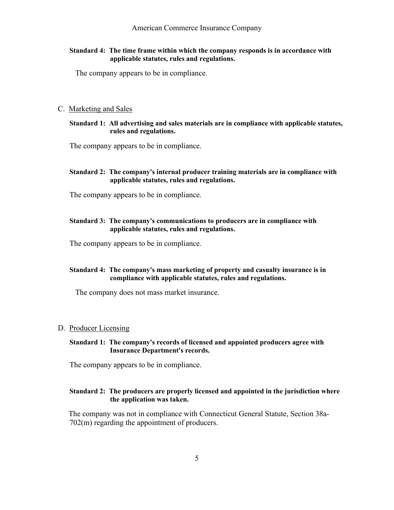### **Standard 4: The time frame within which the company responds is in accordance with applicable statutes, rules and regulations.**

The company appears to be in compliance.

#### C. Marketing and Sales

### **Standard 1: All advertising and sales materials are in compliance with applicable statutes, rules and regulations.**

The company appears to be in compliance.

### **Standard 2: The company's internal producer training materials are in compliance with applicable statutes, rules and regulations.**

The company appears to be in compliance.

### **Standard 3: The company's communications to producers are in compliance with applicable statutes, rules and regulations.**

The company appears to be in compliance.

### **Standard 4: The company's mass marketing of property and casualty insurance is in compliance with applicable statutes, rules and regulations.**

The company does not mass market insurance.

### D. Producer Licensing

### **Standard 1: The company's records of licensed and appointed producers agree with Insurance Department's records.**

The company appears to be in compliance.

## **Standard 2: The producers are properly licensed and appointed in the jurisdiction where the application was taken.**

 The company was not in compliance with Connecticut General Statute, Section 38a-702(m) regarding the appointment of producers.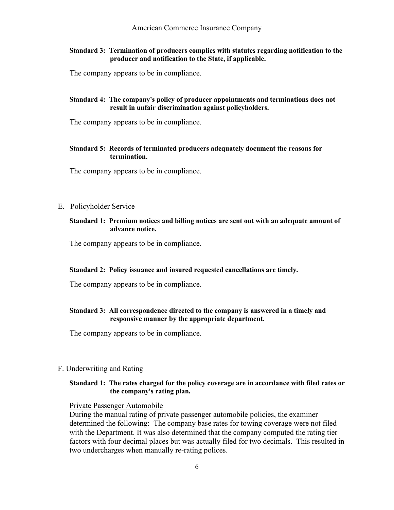### **Standard 3: Termination of producers complies with statutes regarding notification to the producer and notification to the State, if applicable.**

The company appears to be in compliance.

### **Standard 4: The company's policy of producer appointments and terminations does not result in unfair discrimination against policyholders.**

The company appears to be in compliance.

### **Standard 5: Records of terminated producers adequately document the reasons for termination.**

The company appears to be in compliance.

### E. Policyholder Service

**Standard 1: Premium notices and billing notices are sent out with an adequate amount of advance notice.**

The company appears to be in compliance.

### **Standard 2: Policy issuance and insured requested cancellations are timely.**

The company appears to be in compliance.

### **Standard 3: All correspondence directed to the company is answered in a timely and responsive manner by the appropriate department.**

The company appears to be in compliance.

#### F. Underwriting and Rating

### **Standard 1: The rates charged for the policy coverage are in accordance with filed rates or the company's rating plan.**

Private Passenger Automobile

During the manual rating of private passenger automobile policies, the examiner determined the following: The company base rates for towing coverage were not filed with the Department. It was also determined that the company computed the rating tier factors with four decimal places but was actually filed for two decimals. This resulted in two undercharges when manually re-rating polices.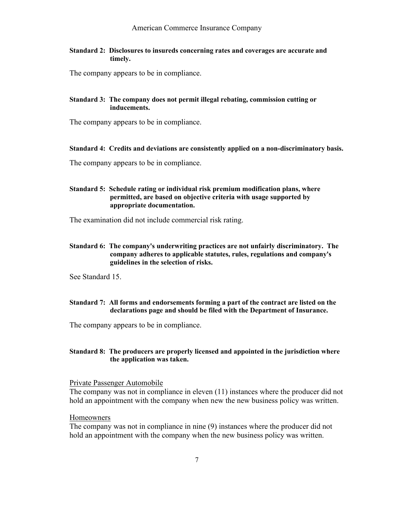**Standard 2: Disclosures to insureds concerning rates and coverages are accurate and timely.**

The company appears to be in compliance.

### **Standard 3: The company does not permit illegal rebating, commission cutting or inducements.**

The company appears to be in compliance.

#### **Standard 4: Credits and deviations are consistently applied on a non-discriminatory basis.**

The company appears to be in compliance.

### **Standard 5: Schedule rating or individual risk premium modification plans, where permitted, are based on objective criteria with usage supported by appropriate documentation.**

The examination did not include commercial risk rating.

### **Standard 6: The company's underwriting practices are not unfairly discriminatory. The company adheres to applicable statutes, rules, regulations and company's guidelines in the selection of risks.**

See Standard 15.

### **Standard 7: All forms and endorsements forming a part of the contract are listed on the declarations page and should be filed with the Department of Insurance.**

The company appears to be in compliance.

### **Standard 8: The producers are properly licensed and appointed in the jurisdiction where the application was taken.**

Private Passenger Automobile

The company was not in compliance in eleven (11) instances where the producer did not hold an appointment with the company when new the new business policy was written.

### Homeowners

The company was not in compliance in nine (9) instances where the producer did not hold an appointment with the company when the new business policy was written.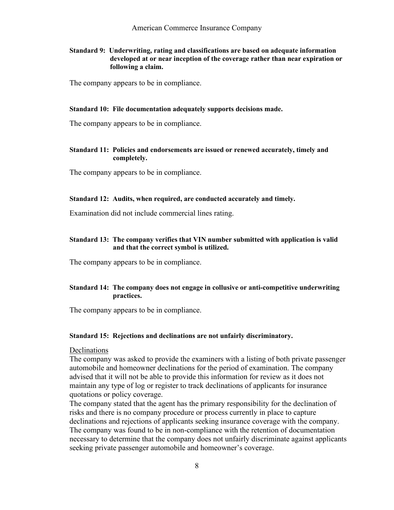**Standard 9: Underwriting, rating and classifications are based on adequate information developed at or near inception of the coverage rather than near expiration or following a claim.**

The company appears to be in compliance.

#### **Standard 10: File documentation adequately supports decisions made.**

The company appears to be in compliance.

### **Standard 11: Policies and endorsements are issued or renewed accurately, timely and completely.**

The company appears to be in compliance.

#### **Standard 12: Audits, when required, are conducted accurately and timely.**

Examination did not include commercial lines rating.

### **Standard 13: The company verifies that VIN number submitted with application is valid and that the correct symbol is utilized.**

The company appears to be in compliance.

### **Standard 14: The company does not engage in collusive or anti-competitive underwriting practices.**

The company appears to be in compliance.

#### **Standard 15: Rejections and declinations are not unfairly discriminatory.**

#### Declinations

The company was asked to provide the examiners with a listing of both private passenger automobile and homeowner declinations for the period of examination. The company advised that it will not be able to provide this information for review as it does not maintain any type of log or register to track declinations of applicants for insurance quotations or policy coverage.

The company stated that the agent has the primary responsibility for the declination of risks and there is no company procedure or process currently in place to capture declinations and rejections of applicants seeking insurance coverage with the company. The company was found to be in non-compliance with the retention of documentation necessary to determine that the company does not unfairly discriminate against applicants seeking private passenger automobile and homeowner's coverage.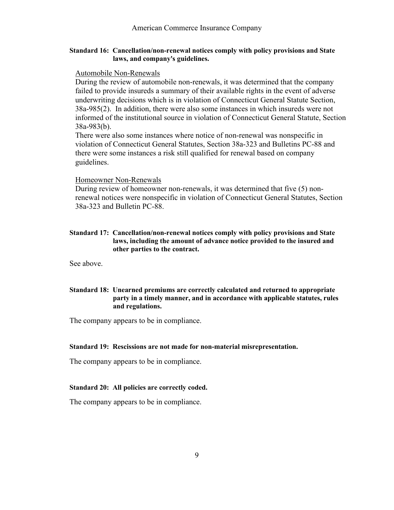### **Standard 16: Cancellation/non-renewal notices comply with policy provisions and State laws, and company's guidelines.**

#### Automobile Non-Renewals

During the review of automobile non-renewals, it was determined that the company failed to provide insureds a summary of their available rights in the event of adverse underwriting decisions which is in violation of Connecticut General Statute Section, 38a-985(2). In addition, there were also some instances in which insureds were not informed of the institutional source in violation of Connecticut General Statute, Section 38a-983(b).

There were also some instances where notice of non-renewal was nonspecific in violation of Connecticut General Statutes, Section 38a-323 and Bulletins PC-88 and there were some instances a risk still qualified for renewal based on company guidelines.

#### Homeowner Non-Renewals

During review of homeowner non-renewals, it was determined that five (5) nonrenewal notices were nonspecific in violation of Connecticut General Statutes, Section 38a-323 and Bulletin PC-88.

### **Standard 17: Cancellation/non-renewal notices comply with policy provisions and State laws, including the amount of advance notice provided to the insured and other parties to the contract.**

See above.

### **Standard 18: Unearned premiums are correctly calculated and returned to appropriate party in a timely manner, and in accordance with applicable statutes, rules and regulations.**

The company appears to be in compliance.

#### **Standard 19: Rescissions are not made for non-material misrepresentation.**

The company appears to be in compliance.

#### **Standard 20: All policies are correctly coded.**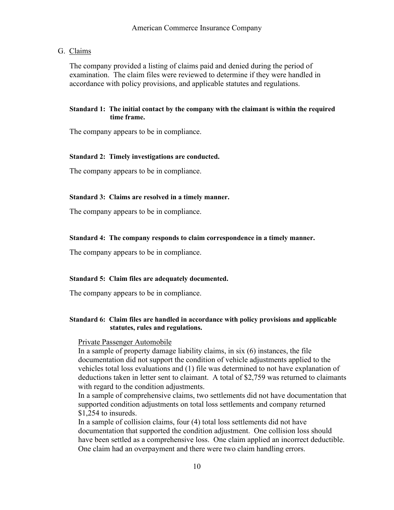### G. Claims

The company provided a listing of claims paid and denied during the period of examination. The claim files were reviewed to determine if they were handled in accordance with policy provisions, and applicable statutes and regulations.

### **Standard 1: The initial contact by the company with the claimant is within the required time frame.**

The company appears to be in compliance.

#### **Standard 2: Timely investigations are conducted.**

The company appears to be in compliance.

#### **Standard 3: Claims are resolved in a timely manner.**

The company appears to be in compliance.

#### **Standard 4: The company responds to claim correspondence in a timely manner.**

The company appears to be in compliance.

#### **Standard 5: Claim files are adequately documented.**

The company appears to be in compliance.

### **Standard 6: Claim files are handled in accordance with policy provisions and applicable statutes, rules and regulations.**

#### Private Passenger Automobile

In a sample of property damage liability claims, in six (6) instances, the file documentation did not support the condition of vehicle adjustments applied to the vehicles total loss evaluations and (1) file was determined to not have explanation of deductions taken in letter sent to claimant. A total of \$2,759 was returned to claimants with regard to the condition adjustments.

In a sample of comprehensive claims, two settlements did not have documentation that supported condition adjustments on total loss settlements and company returned \$1,254 to insureds.

In a sample of collision claims, four (4) total loss settlements did not have documentation that supported the condition adjustment. One collision loss should have been settled as a comprehensive loss. One claim applied an incorrect deductible. One claim had an overpayment and there were two claim handling errors.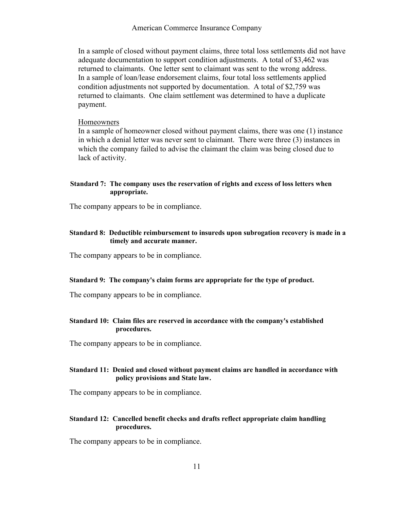American Commerce Insurance Company

In a sample of closed without payment claims, three total loss settlements did not have adequate documentation to support condition adjustments. A total of \$3,462 was returned to claimants. One letter sent to claimant was sent to the wrong address. In a sample of loan/lease endorsement claims, four total loss settlements applied condition adjustments not supported by documentation. A total of \$2,759 was returned to claimants. One claim settlement was determined to have a duplicate payment.

#### Homeowners

In a sample of homeowner closed without payment claims, there was one (1) instance in which a denial letter was never sent to claimant. There were three (3) instances in which the company failed to advise the claimant the claim was being closed due to lack of activity.

### **Standard 7: The company uses the reservation of rights and excess of loss letters when appropriate.**

The company appears to be in compliance.

### **Standard 8: Deductible reimbursement to insureds upon subrogation recovery is made in a timely and accurate manner.**

The company appears to be in compliance.

### **Standard 9: The company's claim forms are appropriate for the type of product.**

The company appears to be in compliance.

### **Standard 10: Claim files are reserved in accordance with the company's established procedures.**

The company appears to be in compliance.

### **Standard 11: Denied and closed without payment claims are handled in accordance with policy provisions and State law.**

The company appears to be in compliance.

### **Standard 12: Cancelled benefit checks and drafts reflect appropriate claim handling procedures.**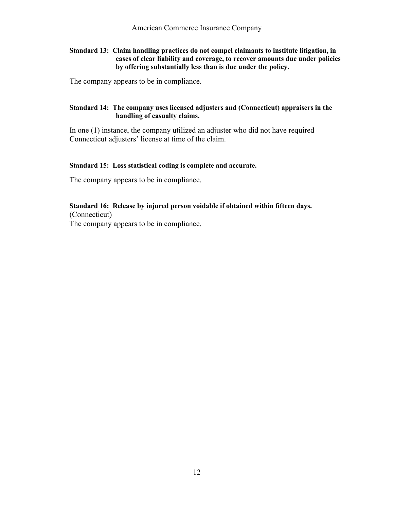**Standard 13: Claim handling practices do not compel claimants to institute litigation, in cases of clear liability and coverage, to recover amounts due under policies by offering substantially less than is due under the policy.**

The company appears to be in compliance.

### **Standard 14: The company uses licensed adjusters and (Connecticut) appraisers in the handling of casualty claims.**

In one (1) instance, the company utilized an adjuster who did not have required Connecticut adjusters' license at time of the claim.

### **Standard 15: Loss statistical coding is complete and accurate.**

The company appears to be in compliance.

### **Standard 16: Release by injured person voidable if obtained within fifteen days.** (Connecticut)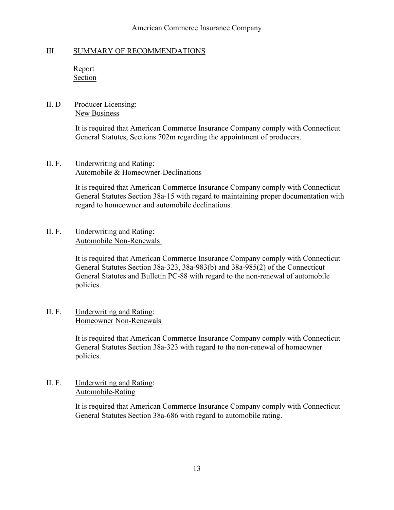## American Commerce Insurance Company

## III. SUMMARY OF RECOMMENDATIONS

 Report **Section** 

# II. D Producer Licensing: New Business

It is required that American Commerce Insurance Company comply with Connecticut General Statutes, Sections 702m regarding the appointment of producers.

# II. F. Underwriting and Rating: Automobile & Homeowner-Declinations

It is required that American Commerce Insurance Company comply with Connecticut General Statutes Section 38a-15 with regard to maintaining proper documentation with regard to homeowner and automobile declinations.

# II. F. Underwriting and Rating: Automobile Non-Renewals

 It is required that American Commerce Insurance Company comply with Connecticut General Statutes Section 38a-323, 38a-983(b) and 38a-985(2) of the Connecticut General Statutes and Bulletin PC-88 with regard to the non-renewal of automobile policies.

# II. F. Underwriting and Rating: Homeowner Non-Renewals

 It is required that American Commerce Insurance Company comply with Connecticut General Statutes Section 38a-323 with regard to the non-renewal of homeowner policies.

# II. F. Underwriting and Rating: Automobile-Rating

It is required that American Commerce Insurance Company comply with Connecticut General Statutes Section 38a-686 with regard to automobile rating.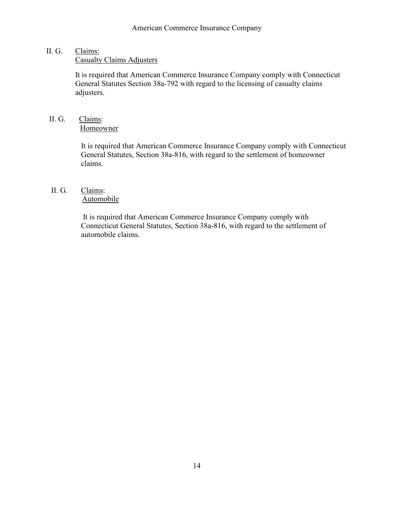# II. G. Claims:

Casualty Claims Adjusters

It is required that American Commerce Insurance Company comply with Connecticut General Statutes Section 38a-792 with regard to the licensing of casualty claims adjusters.

# II. G. Claims: Homeowner

It is required that American Commerce Insurance Company comply with Connecticut General Statutes, Section 38a-816, with regard to the settlement of homeowner claims.

# II. G. Claims: Automobile

It is required that American Commerce Insurance Company comply with Connecticut General Statutes, Section 38a-816, with regard to the settlement of automobile claims.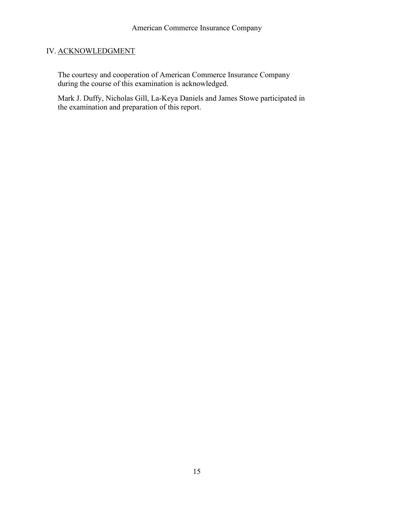# IV. ACKNOWLEDGMENT

The courtesy and cooperation of American Commerce Insurance Company during the course of this examination is acknowledged.

Mark J. Duffy, Nicholas Gill, La-Keya Daniels and James Stowe participated in the examination and preparation of this report.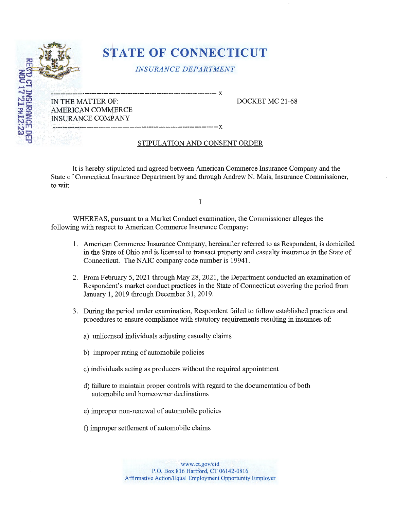

*INSURANCE DEPARTMENT* 

--------------------------------------------------------------------- **X**  IN THE MATTER OF: DOCKET MC 21-68 AMERICAN COMMERCE INSURANCE COMPANY

**---------------------------------------------------------------------x** 

BZ:ZIMATZ.LINDI<br>HONTLATZ.Z3

# STIPULATION AND CONSENT ORDER

It is hereby stipulated and agreed between American Commerce Insurance Company and the State of Connecticut Insurance Department by and through Andrew N. Mais, Insurance Commissioner, to wit:

I

WHEREAS, pursuant to a Market Conduct examination, the Commissioner alleges the following with respect to American Commerce Insurance Company:

- 1. American Commerce Insurance Company, hereinafter referred to as Respondent, is domiciled in the State of Ohio and is licensed to transact property and casualty insurance in the State of Connecticut. The NAIC company code number is 19941.
- 2. From February 5, 2021 through May 28, 2021, the Department conducted an examination of Respondent's market conduct practices in the State of Connecticut covering the period from January 1, 2019 through December 31, 2019.
- 3. During the period under examination, Respondent failed to follow established practices and procedures to ensure compliance with statutory requirements resulting in instances of:
	- a) unlicensed individuals adjusting casualty claims
	- b) improper rating of automobile policies
	- c) individuals acting as producers without the required appointment
	- d) failure to maintain proper controls with regard to the documentation of both automobile and homeowner declinations
	- e) improper non-renewal of automobile policies
	- f) improper settlement of automobile claims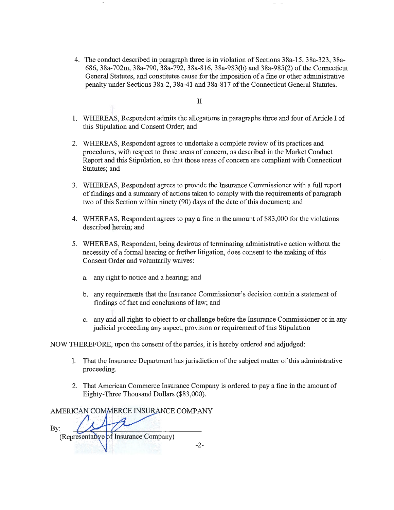4. The conduct described in paragraph three is in violation of Sections 38a-15, 38a-323, 38a-686, 38a-702m, 38a-790, 38a-792, 38a-816, 38a-983(b) and 38a-985(2) of the Connecticut General Statutes, and constitutes cause for the imposition of a fine or other administrative penalty uhder Sections 38a-2, 38a-41 and 38a-817 of the Connecticut General Statutes.

#### II

- 1. WHEREAS, Respondent admits the allegations in paragraphs three and four of Article I of this Stipulation and Consent Order; and
- 2. WHEREAS, Respondent agrees to undertake a complete review of its practices and procedures, with respect to those areas of concern, as described in the Market Conduct Report and this Stipulation, so that those areas of concern are compliant with Connecticut Statutes; and
- 3. WHEREAS, Respondent agrees to provide the Insurance Commissioner with a full report of findings and a summary of actions taken to comply with the requirements of paragraph two of this Section within ninety (90) days of the date of this document; and
- 4. WHEREAS, Respondent agrees to pay a fine in the amount of \$83,000 for the violations described herein; and
- 5. WHEREAS, Respondent, being desirous of terminating administrative action without the necessity of a formal hearing or further litigation, does consent to the making of this Consent Order and voluntarily waives:
	- a. any right to notice and a hearing; and
	- b. any requirements that the Insurance Commissioner's decision contain a statement of findings of fact and conclusions of law; and
	- c. any and all rights to object to or challenge before the Insurance Commissioner or in any judicial proceeding any aspect, provision or requirement of this Stipulation

NOW THEREFORE, upon the consent of the parties, it is hereby ordered and adjudged:

- 1. That the Insurance Department has jurisdiction of the subject matter of this administrative proceeding.
- 2. That American Commerce Insurance Company is ordered to pay a fine in the amount of Eighty-Three Thousand Dollars (\$83,000).

AMERICAN COMMERCE INSURANCE COMPANY By: (Representative of Insurance Company)